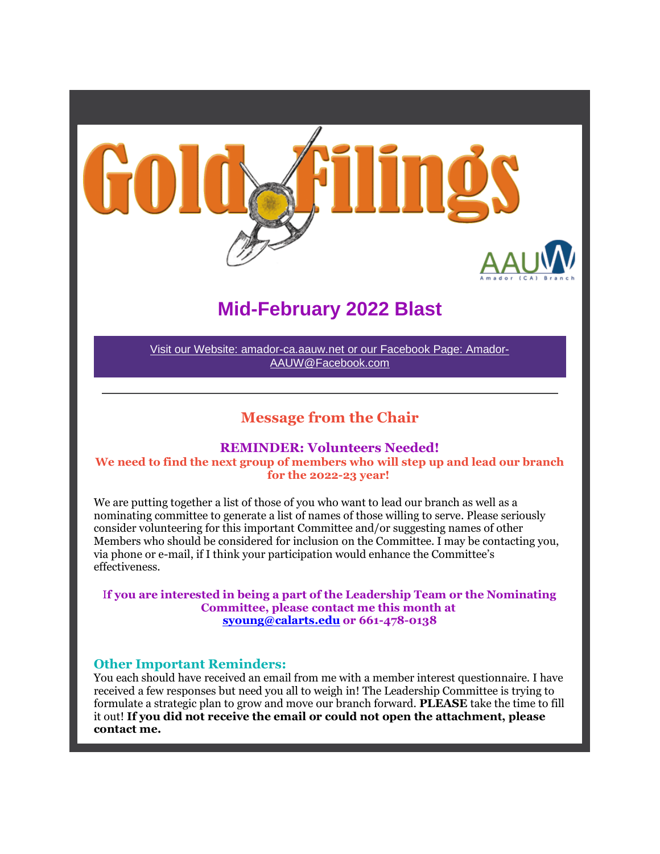

# **Mid-February 2022 Blast**

Visit our Website: amador-ca.aauw.net or our Facebook Page: Amador-AAUW@Facebook.com

# **Message from the Chair**

#### **REMINDER: Volunteers Needed!**

**We need to find the next group of members who will step up and lead our branch for the 2022-23 year!**

We are putting together a list of those of you who want to lead our branch as well as a nominating committee to generate a list of names of those willing to serve. Please seriously consider volunteering for this important Committee and/or suggesting names of other Members who should be considered for inclusion on the Committee. I may be contacting you, via phone or e-mail, if I think your participation would enhance the Committee's effectiveness.

I**f you are interested in being a part of the Leadership Team or the Nominating Committee, please contact me this month at syoung@calarts.edu or 661-478-0138**

### **Other Important Reminders:**

You each should have received an email from me with a member interest questionnaire. I have received a few responses but need you all to weigh in! The Leadership Committee is trying to formulate a strategic plan to grow and move our branch forward. **PLEASE** take the time to fill it out! **If you did not receive the email or could not open the attachment, please contact me.**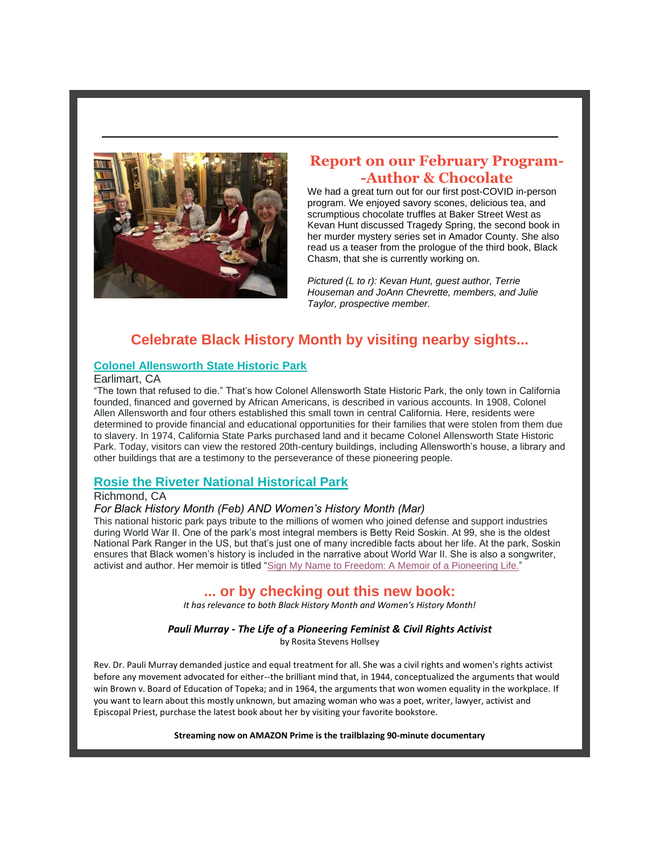

### **Report on our February Program- -Author & Chocolate**

We had a great turn out for our first post-COVID in-person program. We enjoyed savory scones, delicious tea, and scrumptious chocolate truffles at Baker Street West as Kevan Hunt discussed Tragedy Spring, the second book in her murder mystery series set in Amador County. She also read us a teaser from the prologue of the third book, Black Chasm, that she is currently working on.

*Pictured (L to r): Kevan Hunt, guest author, Terrie Houseman and JoAnn Chevrette, members, and Julie Taylor, prospective member.*

# **Celebrate Black History Month by visiting nearby sights...**

#### **Colonel Allensworth State Historic Park**

#### Earlimart, CA

"The town that refused to die." That's how Colonel Allensworth State Historic Park, the only town in California founded, financed and governed by African Americans, is described in various accounts. In 1908, Colonel Allen Allensworth and four others established this small town in central California. Here, residents were determined to provide financial and educational opportunities for their families that were stolen from them due to slavery. In 1974, California State Parks purchased land and it became Colonel Allensworth State Historic Park. Today, visitors can view the restored 20th-century buildings, including Allensworth's house, a library and other buildings that are a testimony to the perseverance of these pioneering people.

### **Rosie the Riveter National Historical Park**

### Richmond, CA

#### *For Black History Month (Feb) AND Women's History Month (Mar)*

This national historic park pays tribute to the millions of women who joined defense and support industries during World War II. One of the park's most integral members is Betty Reid Soskin. At 99, she is the oldest National Park Ranger in the US, but that's just one of many incredible facts about her life. At the park, Soskin ensures that Black women's history is included in the narrative about World War II. She is also a songwriter, activist and author. Her memoir is titled "Sign My Name to Freedom: A Memoir of a Pioneering Life."

### **... or by checking out this new book:**

*It has relevance to both Black History Month and Women's History Month!*

*Pauli Murray - The Life of* **a** *Pioneering Feminist & Civil Rights Activist*

by Rosita Stevens Hollsey

Rev. Dr. Pauli Murray demanded justice and equal treatment for all. She was a civil rights and women's rights activist before any movement advocated for either--the brilliant mind that, in 1944, conceptualized the arguments that would win Brown v. Board of Education of Topeka; and in 1964, the arguments that won women equality in the workplace. If you want to learn about this mostly unknown, but amazing woman who was a poet, writer, lawyer, activist and Episcopal Priest, purchase the latest book about her by visiting your favorite bookstore.

**Streaming now on AMAZON Prime is the trailblazing 90-minute documentary**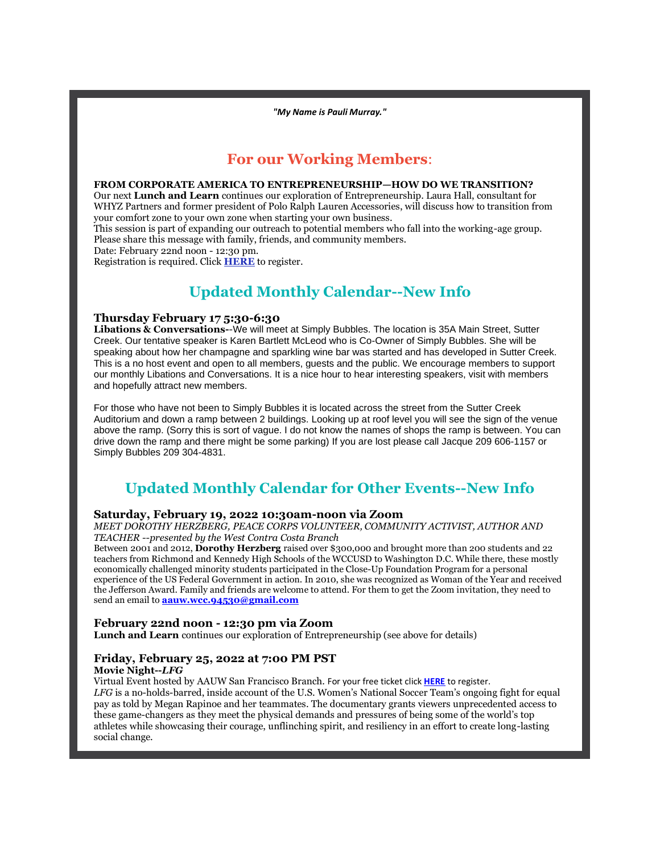*"My Name is Pauli Murray."*

### **For our Working Members**:

#### **FROM CORPORATE AMERICA TO ENTREPRENEURSHIP—HOW DO WE TRANSITION?**

Our next **Lunch and Learn** continues our exploration of Entrepreneurship. Laura Hall, consultant for WHYZ Partners and former president of Polo Ralph Lauren Accessories, will discuss how to transition from your comfort zone to your own zone when starting your own business.

This session is part of expanding our outreach to potential members who fall into the working-age group. Please share this message with family, friends, and community members.

Date: February 22nd noon - 12:30 pm.

Registration is required. Click **HERE** to register.

# **Updated Monthly Calendar--New Info**

#### **Thursday February 17 5:30-6:30**

**Libations & Conversations-**-We will meet at Simply Bubbles. The location is 35A Main Street, Sutter Creek. Our tentative speaker is Karen Bartlett McLeod who is Co-Owner of Simply Bubbles. She will be speaking about how her champagne and sparkling wine bar was started and has developed in Sutter Creek. This is a no host event and open to all members, guests and the public. We encourage members to support our monthly Libations and Conversations. It is a nice hour to hear interesting speakers, visit with members and hopefully attract new members.

For those who have not been to Simply Bubbles it is located across the street from the Sutter Creek Auditorium and down a ramp between 2 buildings. Looking up at roof level you will see the sign of the venue above the ramp. (Sorry this is sort of vague. I do not know the names of shops the ramp is between. You can drive down the ramp and there might be some parking) If you are lost please call Jacque 209 606-1157 or Simply Bubbles 209 304-4831.

# **Updated Monthly Calendar for Other Events--New Info**

#### **Saturday, February 19, 2022 10:30am-noon via Zoom**

*MEET DOROTHY HERZBERG, PEACE CORPS VOLUNTEER, COMMUNITY ACTIVIST, AUTHOR AND TEACHER --presented by the West Contra Costa Branch*

Between 2001 and 2012, **Dorothy Herzberg** raised over \$300,000 and brought more than 200 students and 22 teachers from Richmond and Kennedy High Schools of the WCCUSD to Washington D.C. While there, these mostly economically challenged minority students participated in the Close-Up Foundation Program for a personal experience of the US Federal Government in action. In 2010, she was recognized as Woman of the Year and received the Jefferson Award. Family and friends are welcome to attend. For them to get the Zoom invitation, they need to send an email to **aauw.wcc.94530@gmail.com**

#### **February 22nd noon - 12:30 pm via Zoom**

**Lunch and Learn** continues our exploration of Entrepreneurship (see above for details)

### **Friday, February 25, 2022 at 7:00 PM PST**

#### **Movie Night--***LFG*

Virtual Event hosted by AAUW San Francisco Branch. For your free ticket click **HERE** to register.

*LFG* is a no-holds-barred, inside account of the U.S. Women's National Soccer Team's ongoing fight for equal pay as told by Megan Rapinoe and her teammates. The documentary grants viewers unprecedented access to these game-changers as they meet the physical demands and pressures of being some of the world's top athletes while showcasing their courage, unflinching spirit, and resiliency in an effort to create long-lasting social change.